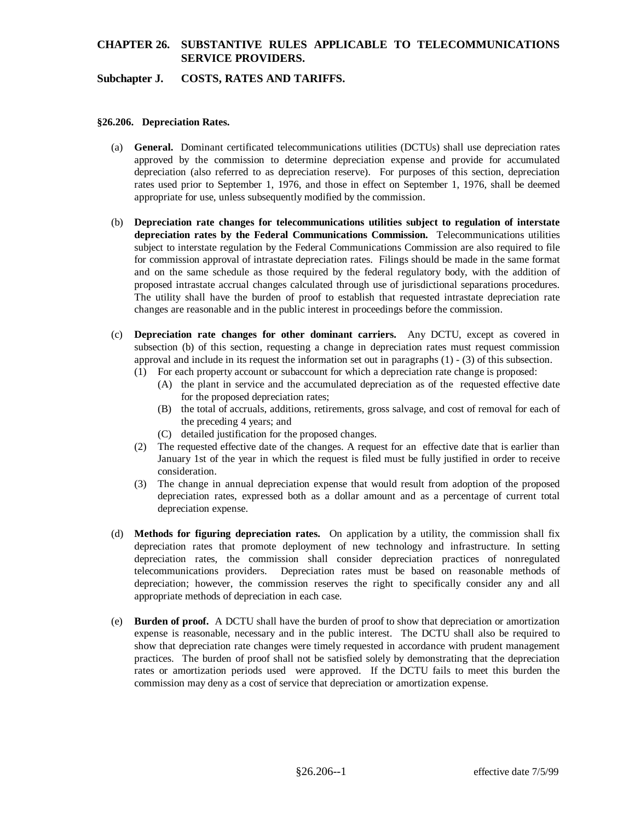## **CHAPTER 26. SUBSTANTIVE RULES APPLICABLE TO TELECOMMUNICATIONS SERVICE PROVIDERS.**

### **Subchapter J. COSTS, RATES AND TARIFFS.**

#### **§26.206. Depreciation Rates.**

- (a) **General.** Dominant certificated telecommunications utilities (DCTUs) shall use depreciation rates approved by the commission to determine depreciation expense and provide for accumulated depreciation (also referred to as depreciation reserve). For purposes of this section, depreciation rates used prior to September 1, 1976, and those in effect on September 1, 1976, shall be deemed appropriate for use, unless subsequently modified by the commission.
- (b) **Depreciation rate changes for telecommunications utilities subject to regulation of interstate depreciation rates by the Federal Communications Commission.** Telecommunications utilities subject to interstate regulation by the Federal Communications Commission are also required to file for commission approval of intrastate depreciation rates. Filings should be made in the same format and on the same schedule as those required by the federal regulatory body, with the addition of proposed intrastate accrual changes calculated through use of jurisdictional separations procedures. The utility shall have the burden of proof to establish that requested intrastate depreciation rate changes are reasonable and in the public interest in proceedings before the commission.
- (c) **Depreciation rate changes for other dominant carriers.** Any DCTU, except as covered in subsection (b) of this section, requesting a change in depreciation rates must request commission approval and include in its request the information set out in paragraphs (1) - (3) of this subsection.
	- (1) For each property account or subaccount for which a depreciation rate change is proposed:
		- (A) the plant in service and the accumulated depreciation as of the requested effective date for the proposed depreciation rates;
		- (B) the total of accruals, additions, retirements, gross salvage, and cost of removal for each of the preceding 4 years; and
		- (C) detailed justification for the proposed changes.
	- (2) The requested effective date of the changes. A request for an effective date that is earlier than January 1st of the year in which the request is filed must be fully justified in order to receive consideration.
	- (3) The change in annual depreciation expense that would result from adoption of the proposed depreciation rates, expressed both as a dollar amount and as a percentage of current total depreciation expense.
- (d) **Methods for figuring depreciation rates.** On application by a utility, the commission shall fix depreciation rates that promote deployment of new technology and infrastructure. In setting depreciation rates, the commission shall consider depreciation practices of nonregulated telecommunications providers. Depreciation rates must be based on reasonable methods of depreciation; however, the commission reserves the right to specifically consider any and all appropriate methods of depreciation in each case.
- (e) **Burden of proof.** A DCTU shall have the burden of proof to show that depreciation or amortization expense is reasonable, necessary and in the public interest. The DCTU shall also be required to show that depreciation rate changes were timely requested in accordance with prudent management practices. The burden of proof shall not be satisfied solely by demonstrating that the depreciation rates or amortization periods used were approved. If the DCTU fails to meet this burden the commission may deny as a cost of service that depreciation or amortization expense.